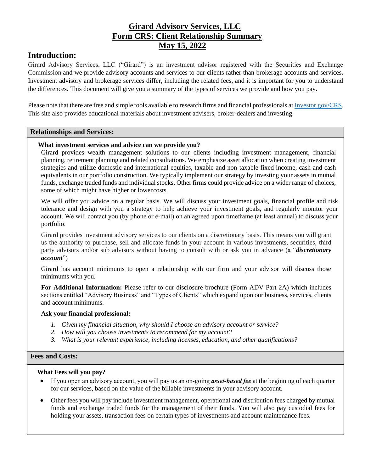# **Girard Advisory Services, LLC Form CRS: Client Relationship Summary May 15, 2022**

# **Introduction:**

Girard Advisory Services, LLC ("Girard") is an investment advisor registered with the Securities and Exchange Commission and we provide advisory accounts and services to our clients rather than brokerage accounts and services**.** Investment advisory and brokerage services differ, including the related fees, and it is important for you to understand the differences. This document will give you a summary of the types of services we provide and how you pay.

Please note that there are free and simple tools available to research firms and financial professionals a[t Investor.gov/CRS.](http://investor.gov/CRS) This site also provides educational materials about investment advisers, broker-dealers and investing.

## **Relationships and Services:**

## **What investment services and advice can we provide you?**

Girard provides wealth management solutions to our clients including investment management, financial planning, retirement planning and related consultations. We emphasize asset allocation when creating investment strategies and utilize domestic and international equities, taxable and non-taxable fixed income, cash and cash equivalents in our portfolio construction. We typically implement our strategy by investing your assets in mutual funds, exchange traded funds and individual stocks. Other firms could provide advice on a wider range of choices, some of which might have higher or lowercosts.

We will offer you advice on a regular basis. We will discuss your investment goals, financial profile and risk tolerance and design with you a strategy to help achieve your investment goals, and regularly monitor your account. We will contact you (by phone or e‐mail) on an agreed upon timeframe (at least annual) to discuss your portfolio.

Girard provides investment advisory services to our clients on a discretionary basis. This means you will grant us the authority to purchase, sell and allocate funds in your account in various investments, securities, third party advisors and/or sub advisors without having to consult with or ask you in advance (a "*discretionary account*")

Girard has account minimums to open a relationship with our firm and your advisor will discuss those minimums with you.

**For Additional Information:** Please refer to our disclosure brochure (Form ADV Part 2A) which includes sections entitled "Advisory Business" and "Types of Clients" which expand upon our business, services, clients and account minimums.

## **Ask your financial professional:**

- *1. Given my financial situation, why should I choose an advisory account or service?*
- *2. How will you choose investments to recommend for my account?*
- *3. What is your relevant experience, including licenses, education, and other qualifications?*

## **Fees and Costs:**

## **What Fees will you pay?**

- If you open an advisory account, you will pay us an on‐going *asset‐based fee* at the beginning of each quarter for our services, based on the value of the billable investments in your advisory account.
- Other fees you will pay include investment management, operational and distribution fees charged by mutual funds and exchange traded funds for the management of their funds. You will also pay custodial fees for holding your assets, transaction fees on certain types of investments and account maintenance fees.